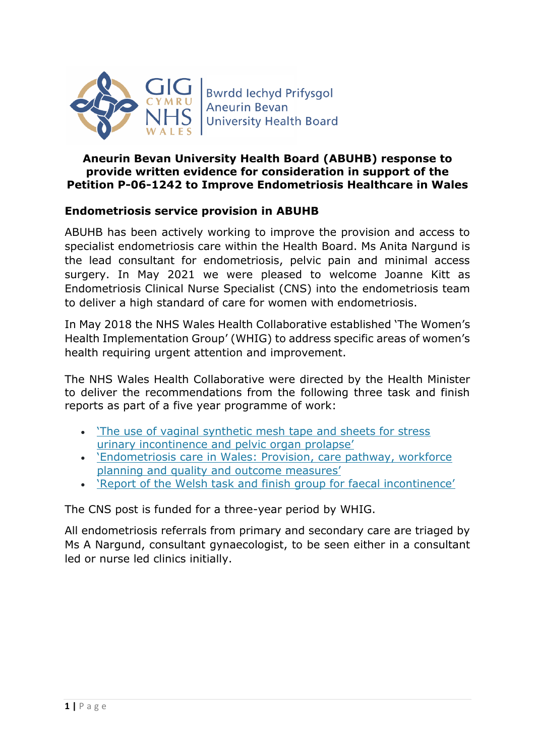

## **Aneurin Bevan University Health Board (ABUHB) response to provide written evidence for consideration in support of the Petition P-06-1242 to Improve Endometriosis Healthcare in Wales**

## **Endometriosis service provision in ABUHB**

ABUHB has been actively working to improve the provision and access to specialist endometriosis care within the Health Board. Ms Anita Nargund is the lead consultant for endometriosis, pelvic pain and minimal access surgery. In May 2021 we were pleased to welcome Joanne Kitt as Endometriosis Clinical Nurse Specialist (CNS) into the endometriosis team to deliver a high standard of care for women with endometriosis.

In May 2018 the NHS Wales Health Collaborative established 'The Women's Health Implementation Group' (WHIG) to address specific areas of women's health requiring urgent attention and improvement.

The NHS Wales Health Collaborative were directed by the Health Minister to deliver the recommendations from the following three task and finish reports as part of a five year programme of work:

- ['The use of vaginal synthetic mesh tape and sheets for stress](https://collaborative.nhs.wales/implementation-groups/womens-health/womens-health-links/review-of-the-use-of-vaginal-synthetic-mesh-tape-and-sheets-for-stress-urinary-incontinence-and-pelvic-organ-prolapse/)  [urinary incontinence and pelvic organ prolapse'](https://collaborative.nhs.wales/implementation-groups/womens-health/womens-health-links/review-of-the-use-of-vaginal-synthetic-mesh-tape-and-sheets-for-stress-urinary-incontinence-and-pelvic-organ-prolapse/)
- ['Endometriosis care in Wales: Provisio](https://collaborative.nhs.wales/implementation-groups/womens-health/womens-health-links/endometriosis-care-in-wales-provision-care-pathway-workforce-planning-and-quality-and-outcome-measures/)n, care pathway, workforce [planning and quality and outcome measures'](https://collaborative.nhs.wales/implementation-groups/womens-health/womens-health-links/endometriosis-care-in-wales-provision-care-pathway-workforce-planning-and-quality-and-outcome-measures/)
- ['Report of the Welsh task and finish group for faecal incontinence'](https://collaborative.nhs.wales/implementation-groups/womens-health/womens-health-links/report-of-the-welsh-task-and-finish-group-for-faecal-incontinence/)

The CNS post is funded for a three-year period by WHIG.

All endometriosis referrals from primary and secondary care are triaged by Ms A Nargund, consultant gynaecologist, to be seen either in a consultant led or nurse led clinics initially.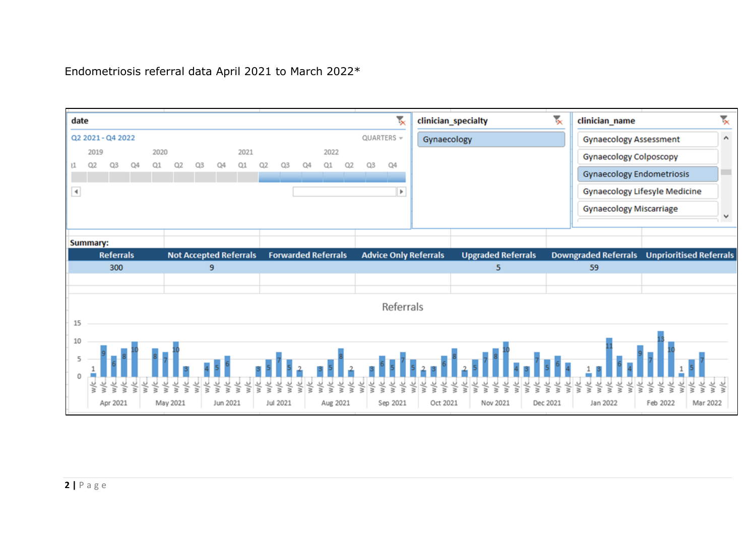## Endometriosis referral data April 2021 to March 2022\*

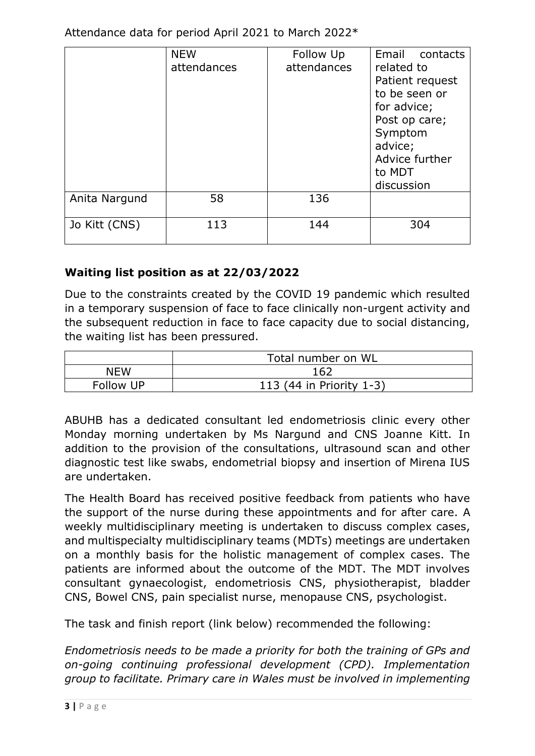Attendance data for period April 2021 to March 2022\*

|               | <b>NEW</b><br>attendances | Follow Up<br>attendances | Email contacts<br>related to<br>Patient request<br>to be seen or<br>for advice;<br>Post op care;<br>Symptom<br>advice;<br>Advice further<br>to MDT<br>discussion |
|---------------|---------------------------|--------------------------|------------------------------------------------------------------------------------------------------------------------------------------------------------------|
| Anita Nargund | 58                        | 136                      |                                                                                                                                                                  |
| Jo Kitt (CNS) | 113                       | 144                      | 304                                                                                                                                                              |

## **Waiting list position as at 22/03/2022**

Due to the constraints created by the COVID 19 pandemic which resulted in a temporary suspension of face to face clinically non-urgent activity and the subsequent reduction in face to face capacity due to social distancing, the waiting list has been pressured.

|            | Total number on WL       |  |  |
|------------|--------------------------|--|--|
| <b>NEW</b> | 162                      |  |  |
| Follow UP  | 113 (44 in Priority 1-3) |  |  |

ABUHB has a dedicated consultant led endometriosis clinic every other Monday morning undertaken by Ms Nargund and CNS Joanne Kitt. In addition to the provision of the consultations, ultrasound scan and other diagnostic test like swabs, endometrial biopsy and insertion of Mirena IUS are undertaken.

The Health Board has received positive feedback from patients who have the support of the nurse during these appointments and for after care. A weekly multidisciplinary meeting is undertaken to discuss complex cases, and multispecialty multidisciplinary teams (MDTs) meetings are undertaken on a monthly basis for the holistic management of complex cases. The patients are informed about the outcome of the MDT. The MDT involves consultant gynaecologist, endometriosis CNS, physiotherapist, bladder CNS, Bowel CNS, pain specialist nurse, menopause CNS, psychologist.

The task and finish report (link below) recommended the following:

*Endometriosis needs to be made a priority for both the training of GPs and on-going continuing professional development (CPD). Implementation group to facilitate. Primary care in Wales must be involved in implementing*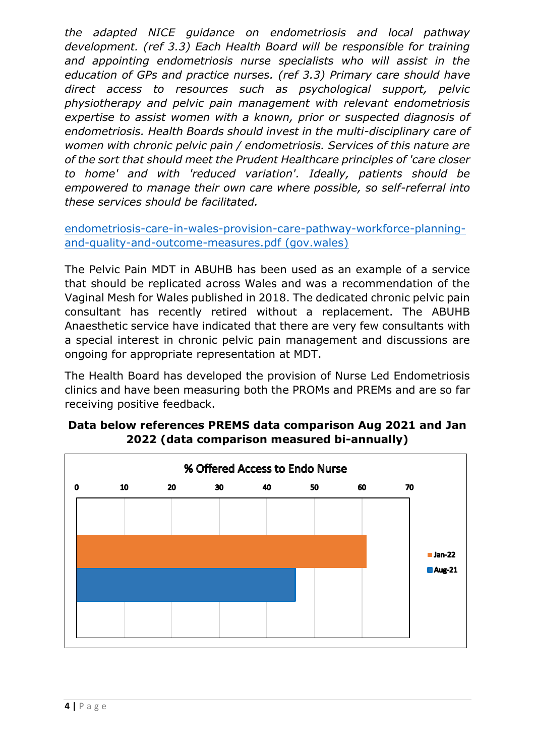*the adapted NICE guidance on endometriosis and local pathway development. (ref 3.3) Each Health Board will be responsible for training and appointing endometriosis nurse specialists who will assist in the education of GPs and practice nurses. (ref 3.3) Primary care should have direct access to resources such as psychological support, pelvic physiotherapy and pelvic pain management with relevant endometriosis expertise to assist women with a known, prior or suspected diagnosis of endometriosis. Health Boards should invest in the multi-disciplinary care of women with chronic pelvic pain / endometriosis. Services of this nature are of the sort that should meet the Prudent Healthcare principles of 'care closer to home' and with 'reduced variation'. Ideally, patients should be empowered to manage their own care where possible, so self-referral into these services should be facilitated.*

[endometriosis-care-in-wales-provision-care-pathway-workforce-planning](https://gov.wales/sites/default/files/publications/2019-03/endometriosis-care-in-wales-provision-care-pathway-workforce-planning-and-quality-and-outcome-measures.pdf)[and-quality-and-outcome-measures.pdf \(gov.wales\)](https://gov.wales/sites/default/files/publications/2019-03/endometriosis-care-in-wales-provision-care-pathway-workforce-planning-and-quality-and-outcome-measures.pdf)

The Pelvic Pain MDT in ABUHB has been used as an example of a service that should be replicated across Wales and was a recommendation of the Vaginal Mesh for Wales published in 2018. The dedicated chronic pelvic pain consultant has recently retired without a replacement. The ABUHB Anaesthetic service have indicated that there are very few consultants with a special interest in chronic pelvic pain management and discussions are ongoing for appropriate representation at MDT.

The Health Board has developed the provision of Nurse Led Endometriosis clinics and have been measuring both the PROMs and PREMs and are so far receiving positive feedback.



**Data below references PREMS data comparison Aug 2021 and Jan 2022 (data comparison measured bi-annually)**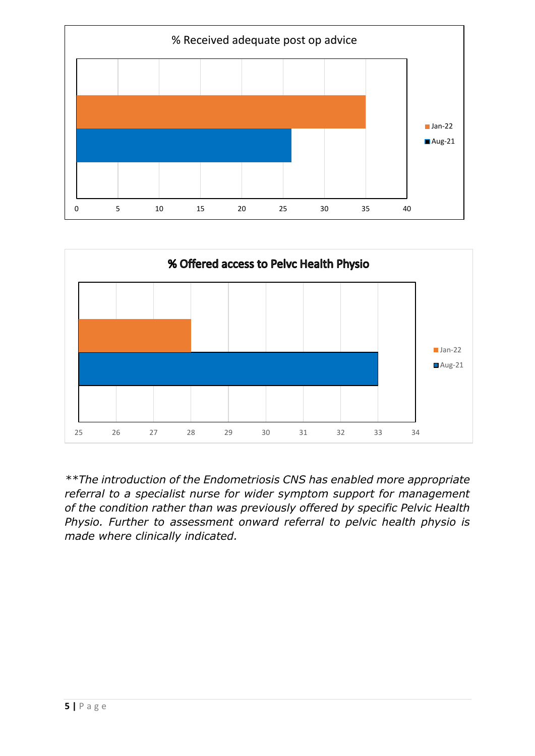



*\*\*The introduction of the Endometriosis CNS has enabled more appropriate referral to a specialist nurse for wider symptom support for management of the condition rather than was previously offered by specific Pelvic Health Physio. Further to assessment onward referral to pelvic health physio is made where clinically indicated.*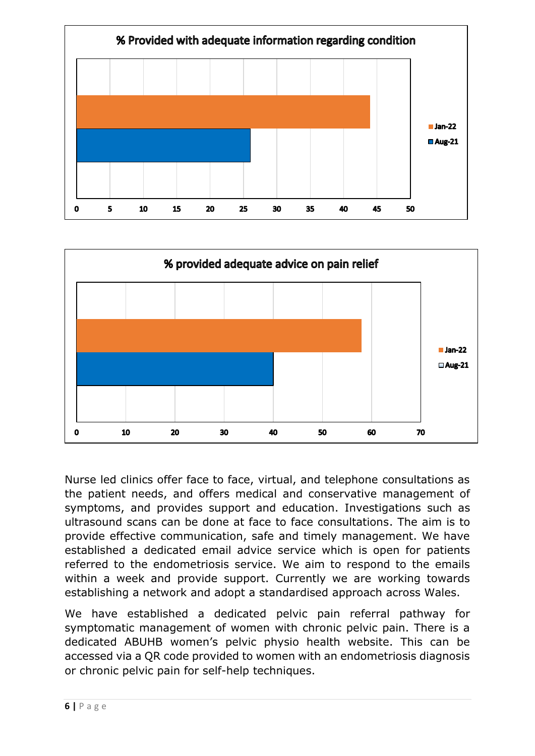



Nurse led clinics offer face to face, virtual, and telephone consultations as the patient needs, and offers medical and conservative management of symptoms, and provides support and education. Investigations such as ultrasound scans can be done at face to face consultations. The aim is to provide effective communication, safe and timely management. We have established a dedicated email advice service which is open for patients referred to the endometriosis service. We aim to respond to the emails within a week and provide support. Currently we are working towards establishing a network and adopt a standardised approach across Wales.

We have established a dedicated pelvic pain referral pathway for symptomatic management of women with chronic pelvic pain. There is a dedicated ABUHB women's pelvic physio health website. This can be accessed via a QR code provided to women with an endometriosis diagnosis or chronic pelvic pain for self-help techniques.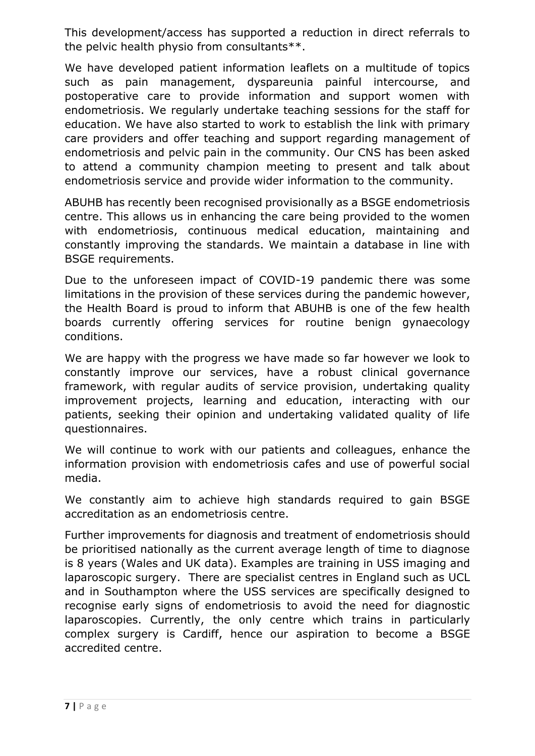This development/access has supported a reduction in direct referrals to the pelvic health physio from consultants\*\*.

We have developed patient information leaflets on a multitude of topics such as pain management, dyspareunia painful intercourse, and postoperative care to provide information and support women with endometriosis. We regularly undertake teaching sessions for the staff for education. We have also started to work to establish the link with primary care providers and offer teaching and support regarding management of endometriosis and pelvic pain in the community. Our CNS has been asked to attend a community champion meeting to present and talk about endometriosis service and provide wider information to the community.

ABUHB has recently been recognised provisionally as a BSGE endometriosis centre. This allows us in enhancing the care being provided to the women with endometriosis, continuous medical education, maintaining and constantly improving the standards. We maintain a database in line with BSGE requirements.

Due to the unforeseen impact of COVID-19 pandemic there was some limitations in the provision of these services during the pandemic however, the Health Board is proud to inform that ABUHB is one of the few health boards currently offering services for routine benign gynaecology conditions.

We are happy with the progress we have made so far however we look to constantly improve our services, have a robust clinical governance framework, with regular audits of service provision, undertaking quality improvement projects, learning and education, interacting with our patients, seeking their opinion and undertaking validated quality of life questionnaires.

We will continue to work with our patients and colleagues, enhance the information provision with endometriosis cafes and use of powerful social media.

We constantly aim to achieve high standards required to gain BSGE accreditation as an endometriosis centre.

Further improvements for diagnosis and treatment of endometriosis should be prioritised nationally as the current average length of time to diagnose is 8 years (Wales and UK data). Examples are training in USS imaging and laparoscopic surgery. There are specialist centres in England such as UCL and in Southampton where the USS services are specifically designed to recognise early signs of endometriosis to avoid the need for diagnostic laparoscopies. Currently, the only centre which trains in particularly complex surgery is Cardiff, hence our aspiration to become a BSGE accredited centre.